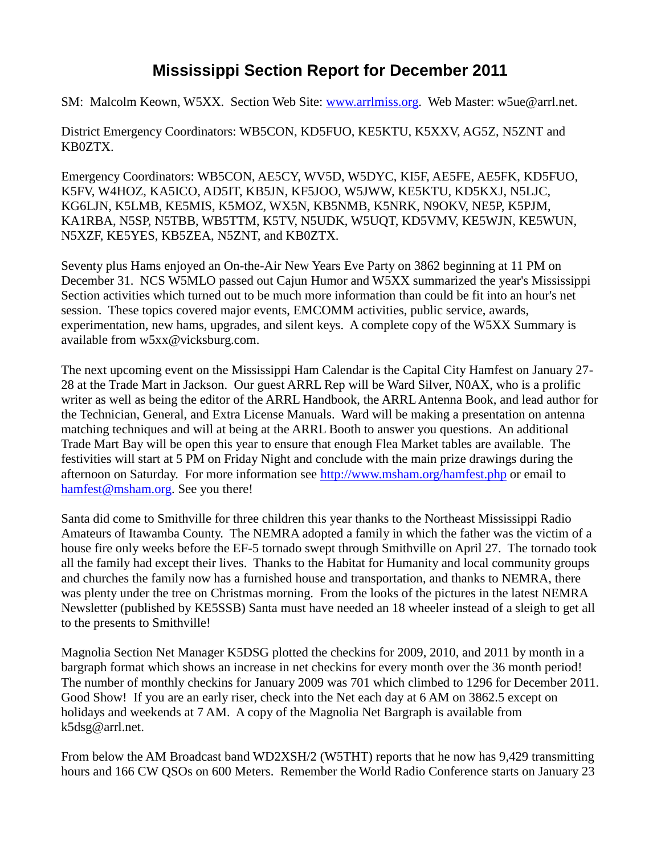## **Mississippi Section Report for December 2011**

SM: Malcolm Keown, W5XX. Section Web Site: [www.arrlmiss.org.](http://www.arrlmiss.org/) Web Master: w5ue@arrl.net.

District Emergency Coordinators: WB5CON, KD5FUO, KE5KTU, K5XXV, AG5Z, N5ZNT and KB0ZTX.

Emergency Coordinators: WB5CON, AE5CY, WV5D, W5DYC, KI5F, AE5FE, AE5FK, KD5FUO, K5FV, W4HOZ, KA5ICO, AD5IT, KB5JN, KF5JOO, W5JWW, KE5KTU, KD5KXJ, N5LJC, KG6LJN, K5LMB, KE5MIS, K5MOZ, WX5N, KB5NMB, K5NRK, N9OKV, NE5P, K5PJM, KA1RBA, N5SP, N5TBB, WB5TTM, K5TV, N5UDK, W5UQT, KD5VMV, KE5WJN, KE5WUN, N5XZF, KE5YES, KB5ZEA, N5ZNT, and KB0ZTX.

Seventy plus Hams enjoyed an On-the-Air New Years Eve Party on 3862 beginning at 11 PM on December 31. NCS W5MLO passed out Cajun Humor and W5XX summarized the year's Mississippi Section activities which turned out to be much more information than could be fit into an hour's net session. These topics covered major events, EMCOMM activities, public service, awards, experimentation, new hams, upgrades, and silent keys. A complete copy of the W5XX Summary is available from w5xx@vicksburg.com.

The next upcoming event on the Mississippi Ham Calendar is the Capital City Hamfest on January 27- 28 at the Trade Mart in Jackson. Our guest ARRL Rep will be Ward Silver, N0AX, who is a prolific writer as well as being the editor of the ARRL Handbook, the ARRL Antenna Book, and lead author for the Technician, General, and Extra License Manuals. Ward will be making a presentation on antenna matching techniques and will at being at the ARRL Booth to answer you questions. An additional Trade Mart Bay will be open this year to ensure that enough Flea Market tables are available. The festivities will start at 5 PM on Friday Night and conclude with the main prize drawings during the afternoon on Saturday. For more information see [http://www.msham.org/hamfest.php](http://www.msham.org/hamfest) or email to [hamfest@msham.org.](mailto:hamfest@msham.org) See you there!

Santa did come to Smithville for three children this year thanks to the Northeast Mississippi Radio Amateurs of Itawamba County. The NEMRA adopted a family in which the father was the victim of a house fire only weeks before the EF-5 tornado swept through Smithville on April 27. The tornado took all the family had except their lives. Thanks to the Habitat for Humanity and local community groups and churches the family now has a furnished house and transportation, and thanks to NEMRA, there was plenty under the tree on Christmas morning. From the looks of the pictures in the latest NEMRA Newsletter (published by KE5SSB) Santa must have needed an 18 wheeler instead of a sleigh to get all to the presents to Smithville!

Magnolia Section Net Manager K5DSG plotted the checkins for 2009, 2010, and 2011 by month in a bargraph format which shows an increase in net checkins for every month over the 36 month period! The number of monthly checkins for January 2009 was 701 which climbed to 1296 for December 2011. Good Show! If you are an early riser, check into the Net each day at 6 AM on 3862.5 except on holidays and weekends at 7 AM. A copy of the Magnolia Net Bargraph is available from k5dsg@arrl.net.

From below the AM Broadcast band WD2XSH/2 (W5THT) reports that he now has 9,429 transmitting hours and 166 CW QSOs on 600 Meters. Remember the World Radio Conference starts on January 23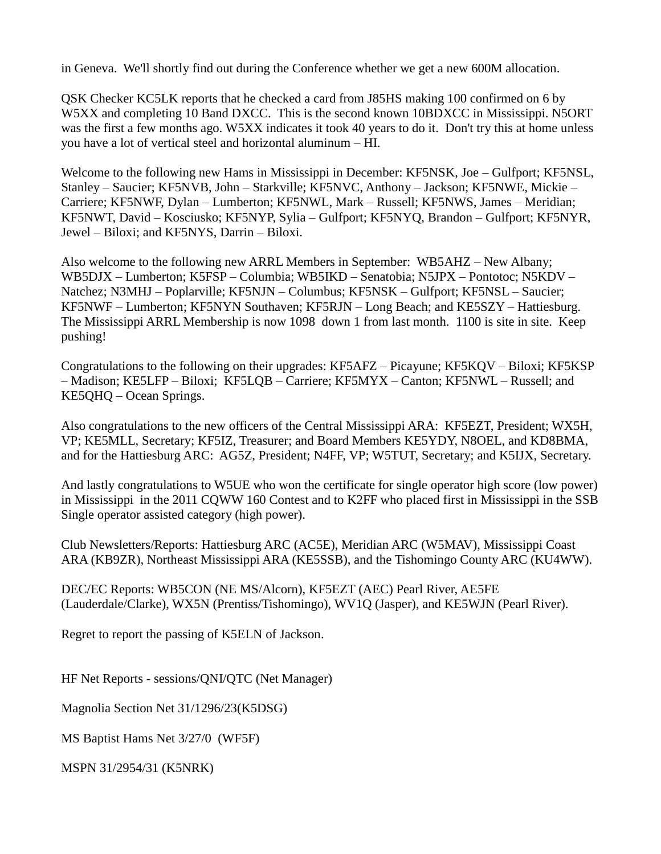in Geneva. We'll shortly find out during the Conference whether we get a new 600M allocation.

QSK Checker KC5LK reports that he checked a card from J85HS making 100 confirmed on 6 by W5XX and completing 10 Band DXCC. This is the second known 10BDXCC in Mississippi. N5ORT was the first a few months ago. W5XX indicates it took 40 years to do it. Don't try this at home unless you have a lot of vertical steel and horizontal aluminum – HI.

Welcome to the following new Hams in Mississippi in December: KF5NSK, Joe – Gulfport; KF5NSL, Stanley – Saucier; KF5NVB, John – Starkville; KF5NVC, Anthony – Jackson; KF5NWE, Mickie – Carriere; KF5NWF, Dylan – Lumberton; KF5NWL, Mark – Russell; KF5NWS, James – Meridian; KF5NWT, David – Kosciusko; KF5NYP, Sylia – Gulfport; KF5NYQ, Brandon – Gulfport; KF5NYR, Jewel – Biloxi; and KF5NYS, Darrin – Biloxi.

Also welcome to the following new ARRL Members in September: WB5AHZ – New Albany; WB5DJX – Lumberton; K5FSP – Columbia; WB5IKD – Senatobia; N5JPX – Pontotoc; N5KDV – Natchez; N3MHJ – Poplarville; KF5NJN – Columbus; KF5NSK – Gulfport; KF5NSL – Saucier; KF5NWF – Lumberton; KF5NYN Southaven; KF5RJN – Long Beach; and KE5SZY – Hattiesburg. The Mississippi ARRL Membership is now 1098 down 1 from last month. 1100 is site in site. Keep pushing!

Congratulations to the following on their upgrades: KF5AFZ – Picayune; KF5KQV – Biloxi; KF5KSP – Madison; KE5LFP – Biloxi; KF5LQB – Carriere; KF5MYX – Canton; KF5NWL – Russell; and KE5QHQ – Ocean Springs.

Also congratulations to the new officers of the Central Mississippi ARA: KF5EZT, President; WX5H, VP; KE5MLL, Secretary; KF5IZ, Treasurer; and Board Members KE5YDY, N8OEL, and KD8BMA, and for the Hattiesburg ARC: AG5Z, President; N4FF, VP; W5TUT, Secretary; and K5IJX, Secretary.

And lastly congratulations to W5UE who won the certificate for single operator high score (low power) in Mississippi in the 2011 CQWW 160 Contest and to K2FF who placed first in Mississippi in the SSB Single operator assisted category (high power).

Club Newsletters/Reports: Hattiesburg ARC (AC5E), Meridian ARC (W5MAV), Mississippi Coast ARA (KB9ZR), Northeast Mississippi ARA (KE5SSB), and the Tishomingo County ARC (KU4WW).

DEC/EC Reports: WB5CON (NE MS/Alcorn), KF5EZT (AEC) Pearl River, AE5FE (Lauderdale/Clarke), WX5N (Prentiss/Tishomingo), WV1Q (Jasper), and KE5WJN (Pearl River).

Regret to report the passing of K5ELN of Jackson.

HF Net Reports - sessions/QNI/QTC (Net Manager)

Magnolia Section Net 31/1296/23(K5DSG)

MS Baptist Hams Net 3/27/0 (WF5F)

MSPN 31/2954/31 (K5NRK)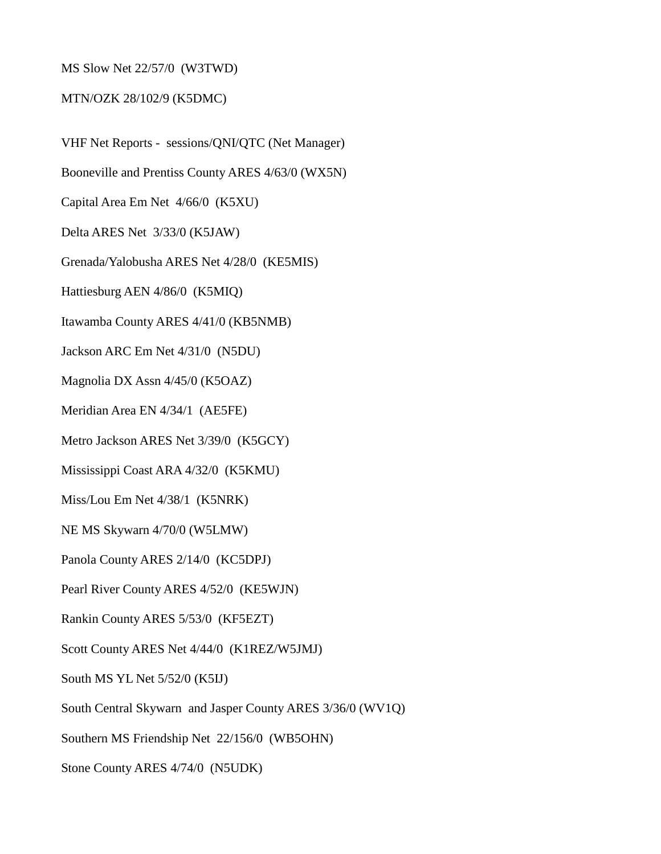## MS Slow Net 22/57/0 (W3TWD)

## MTN/OZK 28/102/9 (K5DMC)

VHF Net Reports - sessions/QNI/QTC (Net Manager) Booneville and Prentiss County ARES 4/63/0 (WX5N) Capital Area Em Net 4/66/0 (K5XU) Delta ARES Net 3/33/0 (K5JAW) Grenada/Yalobusha ARES Net 4/28/0 (KE5MIS) Hattiesburg AEN 4/86/0 (K5MIQ) Itawamba County ARES 4/41/0 (KB5NMB) Jackson ARC Em Net 4/31/0 (N5DU) Magnolia DX Assn 4/45/0 (K5OAZ) Meridian Area EN 4/34/1 (AE5FE) Metro Jackson ARES Net 3/39/0 (K5GCY) Mississippi Coast ARA 4/32/0 (K5KMU) Miss/Lou Em Net 4/38/1 (K5NRK) NE MS Skywarn 4/70/0 (W5LMW) Panola County ARES 2/14/0 (KC5DPJ) Pearl River County ARES 4/52/0 (KE5WJN) Rankin County ARES 5/53/0 (KF5EZT) Scott County ARES Net 4/44/0 (K1REZ/W5JMJ) South MS YL Net 5/52/0 (K5IJ) South Central Skywarn and Jasper County ARES 3/36/0 (WV1Q) Southern MS Friendship Net 22/156/0 (WB5OHN)

Stone County ARES 4/74/0 (N5UDK)